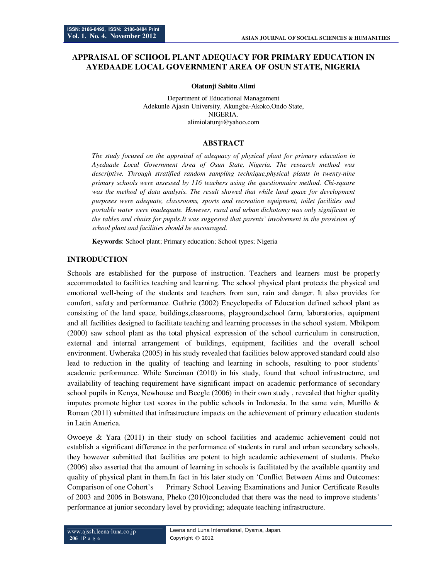# **APPRAISAL OF SCHOOL PLANT ADEQUACY FOR PRIMARY EDUCATION IN AYEDAADE LOCAL GOVERNMENT AREA OF OSUN STATE, NIGERIA**

**Olatunji Sabitu Alimi** 

Department of Educational Management Adekunle Ajasin University, Akungba-Akoko,Ondo State, NIGERIA. alimiolatunji@yahoo.com

#### **ABSTRACT**

*The study focused on the appraisal of adequacy of physical plant for primary education in Ayedaade Local Government Area of Osun State, Nigeria. The research method was descriptive. Through stratified random sampling technique,physical plants in twenty-nine primary schools were assessed by 116 teachers using the questionnaire method. Chi-square*  was the method of data analysis. The result showed that while land space for development *purposes were adequate, classrooms, sports and recreation equipment, toilet facilities and portable water were inadequate. However, rural and urban dichotomy was only significant in the tables and chairs for pupils.It was suggested that parents' involvement in the provision of school plant and facilities should be encouraged.* 

**Keywords**: School plant; Primary education; School types; Nigeria

### **INTRODUCTION**

Schools are established for the purpose of instruction. Teachers and learners must be properly accommodated to facilities teaching and learning. The school physical plant protects the physical and emotional well-being of the students and teachers from sun, rain and danger. It also provides for comfort, safety and performance. Guthrie (2002) Encyclopedia of Education defined school plant as consisting of the land space, buildings,classrooms, playground,school farm, laboratories, equipment and all facilities designed to facilitate teaching and learning processes in the school system. Mbikpom (2000) saw school plant as the total physical expression of the school curriculum in construction, external and internal arrangement of buildings, equipment, facilities and the overall school environment. Uwheraka (2005) in his study revealed that facilities below approved standard could also lead to reduction in the quality of teaching and learning in schools, resulting to poor students' academic performance. While Sureiman (2010) in his study, found that school infrastructure, and availability of teaching requirement have significant impact on academic performance of secondary school pupils in Kenya, Newhouse and Beegle (2006) in their own study , revealed that higher quality imputes promote higher test scores in the public schools in Indonesia. In the same vein, Murillo  $\&$ Roman (2011) submitted that infrastructure impacts on the achievement of primary education students in Latin America.

Owoeye & Yara (2011) in their study on school facilities and academic achievement could not establish a significant difference in the performance of students in rural and urban secondary schools, they however submitted that facilities are potent to high academic achievement of students. Pheko (2006) also asserted that the amount of learning in schools is facilitated by the available quantity and quality of physical plant in them.In fact in his later study on 'Conflict Between Aims and Outcomes: Comparison of one Cohort's Primary School Leaving Examinations and Junior Certificate Results of 2003 and 2006 in Botswana, Pheko (2010)concluded that there was the need to improve students' performance at junior secondary level by providing; adequate teaching infrastructure.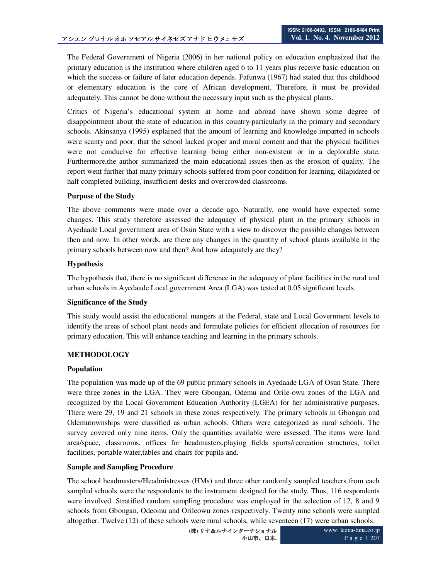The Federal Government of Nigeria (2006) in her national policy on education emphasized that the primary education is the institution where children aged 6 to 11 years plus receive basic education on which the success or failure of later education depends. Fafunwa (1967) had stated that this childhood or elementary education is the core of African development. Therefore, it must be provided adequately. This cannot be done without the necessary input such as the physical plants.

Critics of Nigeria's educational system at home and abroad have shown some degree of disappointment about the state of education in this country-particularly in the primary and secondary schools. Akinsanya (1995) explained that the amount of learning and knowledge imparted in schools were scanty and poor, that the school lacked proper and moral content and that the physical facilities were not conducive for effective learning being either non-existent or in a deplorable state. Furthermore,the author summarized the main educational issues then as the erosion of quality. The report went further that many primary schools suffered from poor condition for learning, dilapidated or half completed building, insufficient desks and overcrowded classrooms.

### **Purpose of the Study**

The above comments were made over a decade ago. Naturally, one would have expected some changes. This study therefore assessed the adequacy of physical plant in the primary schools in Ayedaade Local government area of Osun State with a view to discover the possible changes between then and now. In other words, are there any changes in the quantity of school plants available in the primary schools between now and then? And how adequately are they?

### **Hypothesis**

The hypothesis that, there is no significant difference in the adequacy of plant facilities in the rural and urban schools in Ayedaade Local government Area (LGA) was tested at 0.05 significant levels.

### **Significance of the Study**

This study would assist the educational mangers at the Federal, state and Local Government levels to identify the areas of school plant needs and formulate policies for efficient allocation of resources for primary education. This will enhance teaching and learning in the primary schools.

# **METHODOLOGY**

### **Population**

The population was made up of the 69 public primary schools in Ayedaade LGA of Osun State. There were three zones in the LGA. They were Gbongan, Odemu and Orile-owu zones of the LGA and recognized by the Local Government Education Authority (LGEA) for her administrative purposes. There were 29, 19 and 21 schools in these zones respectively. The primary schools in Gbongan and Odemutownships were classified as urban schools. Others were categorized as rural schools. The survey covered only nine items. Only the quantities available were assessed. The items were land area/space, classrooms, offices for headmasters,playing fields sports/recreation structures, toilet facilities, portable water,tables and chairs for pupils and.

# **Sample and Sampling Procedure**

The school headmasters/Headmistresses (HMs) and three other randomly sampled teachers from each sampled schools were the respondents to the instrument designed for the study. Thus, 116 respondents were involved. Stratified random sampling procedure was employed in the selection of 12, 8 and 9 schools from Gbongan, Odeomu and Orileowu zones respectively. Twenty nine schools were sampled altogether. Twelve (12) of these schools were rural schools, while seventeen (17) were urban schools.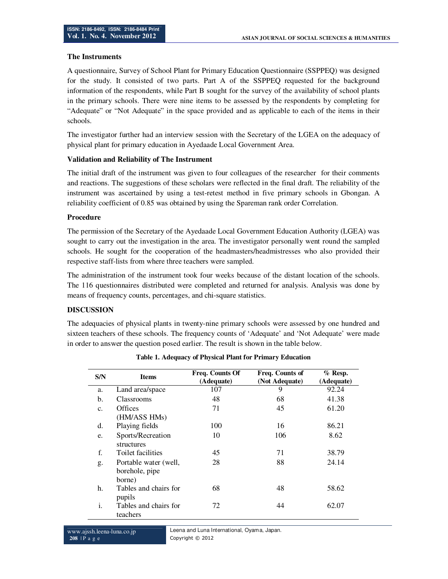### **The Instruments**

A questionnaire, Survey of School Plant for Primary Education Questionnaire (SSPPEQ) was designed for the study. It consisted of two parts. Part A of the SSPPEQ requested for the background information of the respondents, while Part B sought for the survey of the availability of school plants in the primary schools. There were nine items to be assessed by the respondents by completing for "Adequate" or "Not Adequate" in the space provided and as applicable to each of the items in their schools.

The investigator further had an interview session with the Secretary of the LGEA on the adequacy of physical plant for primary education in Ayedaade Local Government Area.

### **Validation and Reliability of The Instrument**

The initial draft of the instrument was given to four colleagues of the researcher for their comments and reactions. The suggestions of these scholars were reflected in the final draft. The reliability of the instrument was ascertained by using a test-retest method in five primary schools in Gbongan. A reliability coefficient of 0.85 was obtained by using the Spareman rank order Correlation.

#### **Procedure**

The permission of the Secretary of the Ayedaade Local Government Education Authority (LGEA) was sought to carry out the investigation in the area. The investigator personally went round the sampled schools. He sought for the cooperation of the headmasters/headmistresses who also provided their respective staff-lists from where three teachers were sampled.

The administration of the instrument took four weeks because of the distant location of the schools. The 116 questionnaires distributed were completed and returned for analysis. Analysis was done by means of frequency counts, percentages, and chi-square statistics.

### **DISCUSSION**

The adequacies of physical plants in twenty-nine primary schools were assessed by one hundred and sixteen teachers of these schools. The frequency counts of 'Adequate' and 'Not Adequate' were made in order to answer the question posed earlier. The result is shown in the table below.

| S/N            | <b>Items</b>                                      | Freq. Counts Of<br>(Adequate) | Freq. Counts of<br>(Not Adequate) | $%$ Resp.<br>(Adequate) |  |
|----------------|---------------------------------------------------|-------------------------------|-----------------------------------|-------------------------|--|
| a.             | Land area/space                                   | 107                           | 9                                 | 92.24                   |  |
| b.             | <b>Classrooms</b>                                 | 48                            | 68                                | 41.38                   |  |
| $\mathbf{c}$ . | Offices<br>(HM/ASS HMs)                           | 71                            | 45                                | 61.20                   |  |
| d.             | Playing fields                                    | 100                           | 16                                | 86.21                   |  |
| e.             | Sports/Recreation<br>structures                   | 10                            | 106                               | 8.62                    |  |
| f.             | Toilet facilities                                 | 45                            | 71                                | 38.79                   |  |
| g.             | Portable water (well,<br>borehole, pipe<br>borne) | 28                            | 88                                | 24.14                   |  |
| h.             | Tables and chairs for<br>pupils                   | 68                            | 48                                | 58.62                   |  |
| i.             | Tables and chairs for<br>teachers                 | 72                            | 44                                | 62.07                   |  |

| Table 1. Adequacy of Physical Plant for Primary Education |  |  |  |  |
|-----------------------------------------------------------|--|--|--|--|
|-----------------------------------------------------------|--|--|--|--|

Leena and Luna International, Oyama, Japan. Copyright © 2012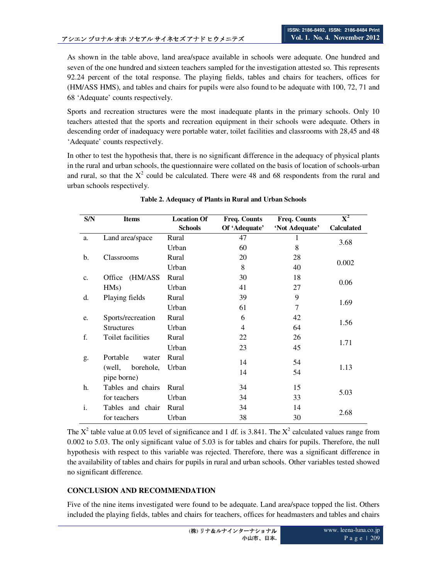As shown in the table above, land area/space available in schools were adequate. One hundred and seven of the one hundred and sixteen teachers sampled for the investigation attested so. This represents 92.24 percent of the total response. The playing fields, tables and chairs for teachers, offices for (HM/ASS HMS), and tables and chairs for pupils were also found to be adequate with 100, 72, 71 and 68 'Adequate' counts respectively.

Sports and recreation structures were the most inadequate plants in the primary schools. Only 10 teachers attested that the sports and recreation equipment in their schools were adequate. Others in descending order of inadequacy were portable water, toilet facilities and classrooms with 28,45 and 48 'Adequate' counts respectively.

In other to test the hypothesis that, there is no significant difference in the adequacy of physical plants in the rural and urban schools, the questionnaire were collated on the basis of location of schools-urban and rural, so that the  $X^2$  could be calculated. There were 48 and 68 respondents from the rural and urban schools respectively.

| S/N | <b>Items</b>        | <b>Location Of</b>      | Freq. Counts  | Freq. Counts   | $\overline{\mathbf{X}^2}$ |  |  |
|-----|---------------------|-------------------------|---------------|----------------|---------------------------|--|--|
|     |                     | <b>Schools</b>          | Of 'Adequate' | 'Not Adequate' | <b>Calculated</b>         |  |  |
| a.  | Land area/space     | Rural                   | 47            |                | 3.68                      |  |  |
|     |                     | Urban                   | 60            | 8              |                           |  |  |
| b.  | Classrooms          | Rural                   | 20            | 28             |                           |  |  |
|     |                     | Urban                   | 8             | 40             | 0.002                     |  |  |
| c.  | (HM/ASS<br>Office   | Rural                   | 30            | 18             |                           |  |  |
|     | HMs)                | Urban                   | 41            | 27             | 0.06                      |  |  |
| d.  | Playing fields      | Rural                   | 39            | 9              | 1.69                      |  |  |
|     |                     | Urban                   | 61            | 7              |                           |  |  |
| e.  | Sports/recreation   | Rural                   | 6             | 42             |                           |  |  |
|     | <b>Structures</b>   | Urban<br>$\overline{4}$ |               | 64             | 1.56                      |  |  |
| f.  | Toilet facilities   | Rural                   | 22            | 26             |                           |  |  |
|     |                     | Urban                   | 23            | 45             | 1.71                      |  |  |
| g.  | Portable<br>water   | Rural                   | 14            | 54             |                           |  |  |
|     | (well,<br>borehole, | Urban                   | 14            | 54             | 1.13                      |  |  |
|     | pipe borne)         |                         |               | 15             |                           |  |  |
| h.  | Tables and chairs   | Rural                   | 34            |                | 5.03                      |  |  |
|     | for teachers        | Urban                   | 34            | 33             |                           |  |  |
| i.  | Tables and chair    | Rural                   | 34            | 14             | 2.68                      |  |  |
|     | for teachers        | Urban                   | 38            | 30             |                           |  |  |

|  | Table 2. Adequacy of Plants in Rural and Urban Schools |  |  |  |  |
|--|--------------------------------------------------------|--|--|--|--|
|  |                                                        |  |  |  |  |

The  $X^2$  table value at 0.05 level of significance and 1 df. is 3.841. The  $X^2$  calculated values range from 0.002 to 5.03. The only significant value of 5.03 is for tables and chairs for pupils. Therefore, the null hypothesis with respect to this variable was rejected. Therefore, there was a significant difference in the availability of tables and chairs for pupils in rural and urban schools. Other variables tested showed no significant difference.

# **CONCLUSION AND RECOMMENDATION**

Five of the nine items investigated were found to be adequate. Land area/space topped the list. Others included the playing fields, tables and chairs for teachers, offices for headmasters and tables and chairs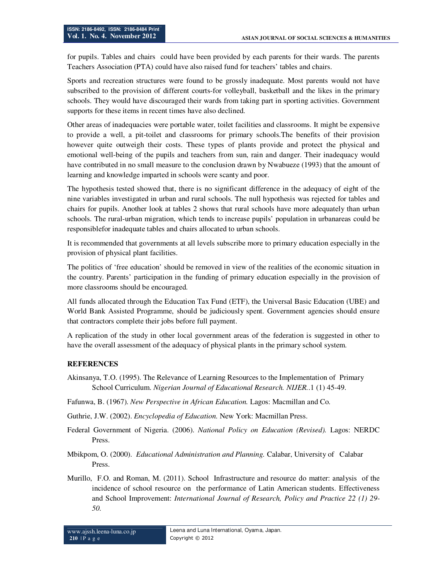for pupils. Tables and chairs could have been provided by each parents for their wards. The parents Teachers Association (PTA) could have also raised fund for teachers' tables and chairs.

Sports and recreation structures were found to be grossly inadequate. Most parents would not have subscribed to the provision of different courts-for volleyball, basketball and the likes in the primary schools. They would have discouraged their wards from taking part in sporting activities. Government supports for these items in recent times have also declined.

Other areas of inadequacies were portable water, toilet facilities and classrooms. It might be expensive to provide a well, a pit-toilet and classrooms for primary schools.The benefits of their provision however quite outweigh their costs. These types of plants provide and protect the physical and emotional well-being of the pupils and teachers from sun, rain and danger. Their inadequacy would have contributed in no small measure to the conclusion drawn by Nwabueze (1993) that the amount of learning and knowledge imparted in schools were scanty and poor.

The hypothesis tested showed that, there is no significant difference in the adequacy of eight of the nine variables investigated in urban and rural schools. The null hypothesis was rejected for tables and chairs for pupils. Another look at tables 2 shows that rural schools have more adequately than urban schools. The rural-urban migration, which tends to increase pupils' population in urbanareas could be responsiblefor inadequate tables and chairs allocated to urban schools.

It is recommended that governments at all levels subscribe more to primary education especially in the provision of physical plant facilities.

The politics of 'free education' should be removed in view of the realities of the economic situation in the country. Parents' participation in the funding of primary education especially in the provision of more classrooms should be encouraged.

All funds allocated through the Education Tax Fund (ETF), the Universal Basic Education (UBE) and World Bank Assisted Programme, should be judiciously spent. Government agencies should ensure that contractors complete their jobs before full payment.

A replication of the study in other local government areas of the federation is suggested in other to have the overall assessment of the adequacy of physical plants in the primary school system.

### **REFERENCES**

- Akinsanya, T.O. (1995). The Relevance of Learning Resources to the Implementation of Primary School Curriculum. *Nigerian Journal of Educational Research. NIJER.*.1 (1) 45-49.
- Fafunwa, B. (1967). *New Perspective in African Education.* Lagos: Macmillan and Co.

Guthrie, J.W. (2002). *Encyclopedia of Education*. New York: Macmillan Press.

- Federal Government of Nigeria. (2006). *National Policy on Education (Revised).* Lagos: NERDC Press.
- Mbikpom, O. (2000). *Educational Administration and Planning.* Calabar, University of Calabar Press.
- Murillo, F.O. and Roman, M. (2011). School Infrastructure and resource do matter: analysis of the incidence of school resource on the performance of Latin American students. Effectiveness and School Improvement: *International Journal of Research, Policy and Practice 22 (1) 29- 50.*